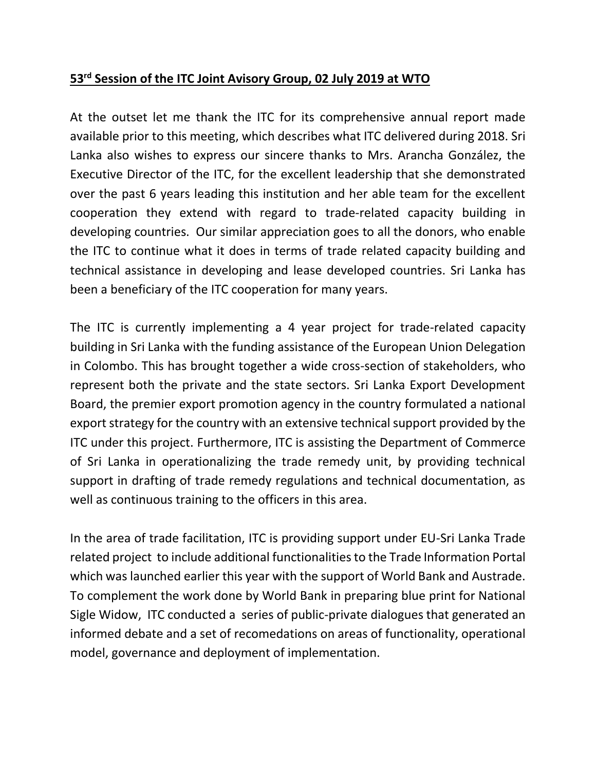## **53 rd Session of the ITC Joint Avisory Group, 02 July 2019 at WTO**

At the outset let me thank the ITC for its comprehensive annual report made available prior to this meeting, which describes what ITC delivered during 2018. Sri Lanka also wishes to express our sincere thanks to Mrs. Arancha González, the Executive Director of the ITC, for the excellent leadership that she demonstrated over the past 6 years leading this institution and her able team for the excellent cooperation they extend with regard to trade-related capacity building in developing countries. Our similar appreciation goes to all the donors, who enable the ITC to continue what it does in terms of trade related capacity building and technical assistance in developing and lease developed countries. Sri Lanka has been a beneficiary of the ITC cooperation for many years.

The ITC is currently implementing a 4 year project for trade-related capacity building in Sri Lanka with the funding assistance of the European Union Delegation in Colombo. This has brought together a wide cross-section of stakeholders, who represent both the private and the state sectors. Sri Lanka Export Development Board, the premier export promotion agency in the country formulated a national export strategy for the country with an extensive technical support provided by the ITC under this project. Furthermore, ITC is assisting the Department of Commerce of Sri Lanka in operationalizing the trade remedy unit, by providing technical support in drafting of trade remedy regulations and technical documentation, as well as continuous training to the officers in this area.

In the area of trade facilitation, ITC is providing support under EU-Sri Lanka Trade related project to include additional functionalities to the Trade Information Portal which was launched earlier this year with the support of World Bank and Austrade. To complement the work done by World Bank in preparing blue print for National Sigle Widow, ITC conducted a series of public-private dialogues that generated an informed debate and a set of recomedations on areas of functionality, operational model, governance and deployment of implementation.